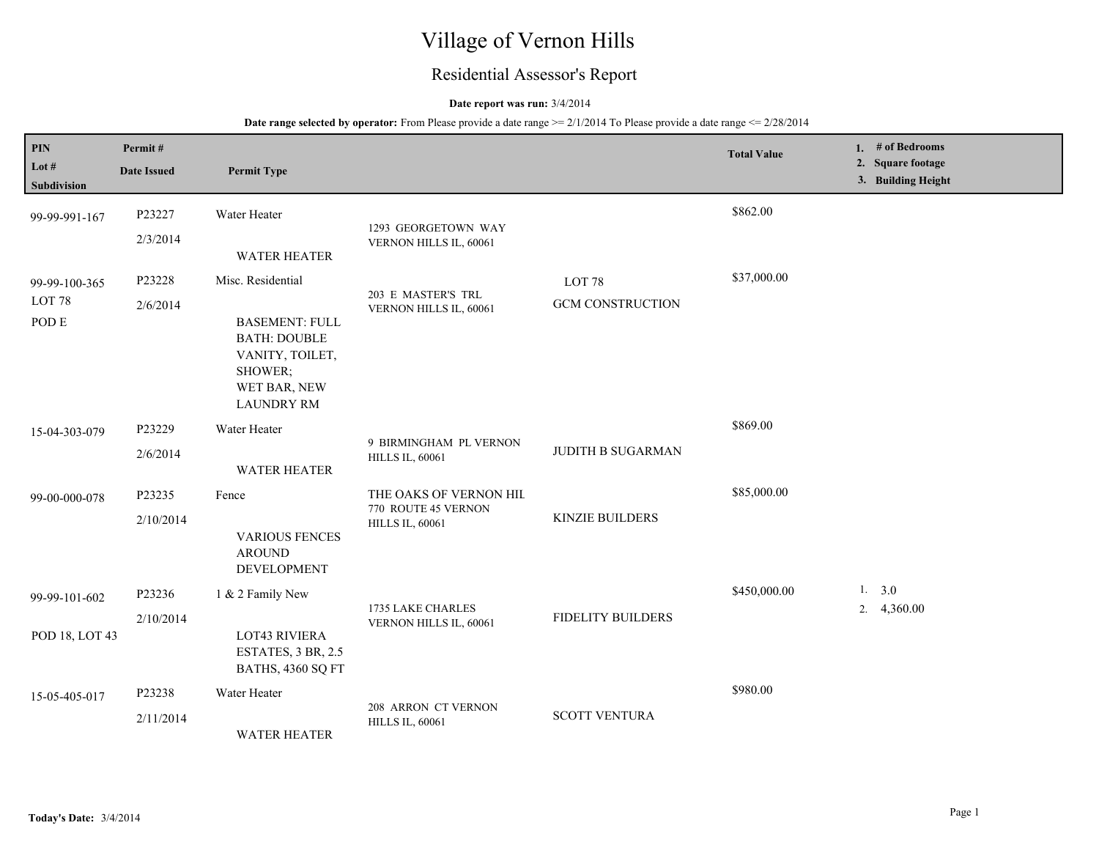# Village of Vernon Hills

# Residential Assessor's Report

## **Date report was run:** 3/4/2014

## **Date range selected by operator:** From Please provide a date range  $\ge 2/1/2014$  To Please provide a date range  $\le 2/28/2014$

| PIN<br>Lot #<br>Subdivision                 | Permit#<br><b>Date Issued</b> | <b>Permit Type</b>                                                                                                                                          |                                                                         |                                              | <b>Total Value</b> | 1. # of Bedrooms<br>2. Square footage<br>3. Building Height |
|---------------------------------------------|-------------------------------|-------------------------------------------------------------------------------------------------------------------------------------------------------------|-------------------------------------------------------------------------|----------------------------------------------|--------------------|-------------------------------------------------------------|
| 99-99-991-167                               | P23227<br>2/3/2014            | Water Heater                                                                                                                                                | 1293 GEORGETOWN WAY<br>VERNON HILLS IL, 60061                           |                                              | \$862.00           |                                                             |
| 99-99-100-365<br>LOT <sub>78</sub><br>POD E | P23228<br>2/6/2014            | <b>WATER HEATER</b><br>Misc. Residential<br><b>BASEMENT: FULL</b><br><b>BATH: DOUBLE</b><br>VANITY, TOILET,<br>SHOWER;<br>WET BAR, NEW<br><b>LAUNDRY RM</b> | 203 E MASTER'S TRL<br>VERNON HILLS IL, 60061                            | LOT <sub>78</sub><br><b>GCM CONSTRUCTION</b> | \$37,000.00        |                                                             |
| 15-04-303-079                               | P23229<br>2/6/2014            | Water Heater<br><b>WATER HEATER</b>                                                                                                                         | 9 BIRMINGHAM PL VERNON<br><b>HILLS IL, 60061</b>                        | <b>JUDITH B SUGARMAN</b>                     | \$869.00           |                                                             |
| 99-00-000-078                               | P23235<br>2/10/2014           | Fence<br><b>VARIOUS FENCES</b><br><b>AROUND</b><br><b>DEVELOPMENT</b>                                                                                       | THE OAKS OF VERNON HIL<br>770 ROUTE 45 VERNON<br><b>HILLS IL, 60061</b> | <b>KINZIE BUILDERS</b>                       | \$85,000.00        |                                                             |
| 99-99-101-602<br>POD 18, LOT 43             | P23236<br>2/10/2014           | 1 & 2 Family New<br><b>LOT43 RIVIERA</b><br>ESTATES, 3 BR, 2.5<br>BATHS, 4360 SQ FT                                                                         | 1735 LAKE CHARLES<br>VERNON HILLS IL, 60061                             | <b>FIDELITY BUILDERS</b>                     | \$450,000.00       | 1. $3.0$<br>2. $4,360.00$                                   |
| 15-05-405-017                               | P23238<br>2/11/2014           | Water Heater<br><b>WATER HEATER</b>                                                                                                                         | 208 ARRON CT VERNON<br><b>HILLS IL, 60061</b>                           | <b>SCOTT VENTURA</b>                         | \$980.00           |                                                             |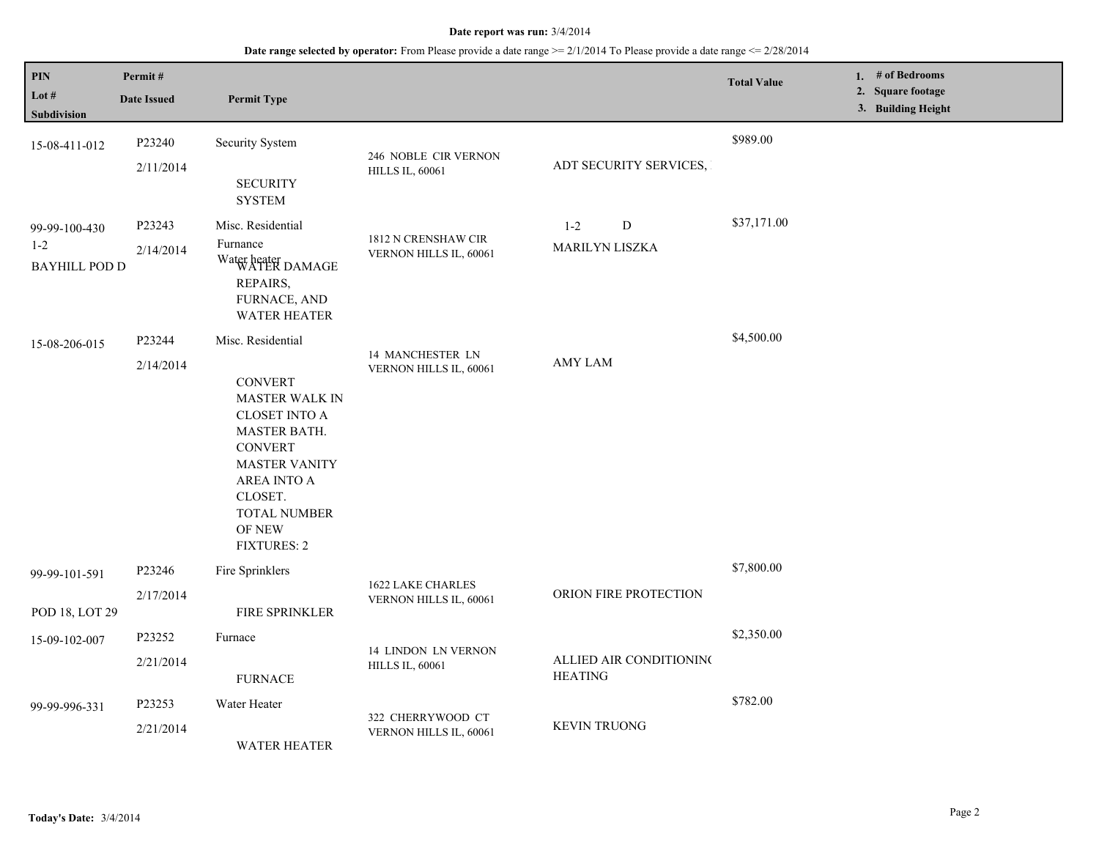#### **Date report was run:** 3/4/2014

# **Date range selected by operator:** From Please provide a date range >= 2/1/2014 To Please provide a date range <= 2/28/2014

| PIN<br>Lot $#$<br>Subdivision                    | Permit#<br><b>Date Issued</b> | <b>Permit Type</b>                                                                                                                                                                                                       |                                                      |                                           | <b>Total Value</b> | 1. # of Bedrooms<br>2. Square footage<br>3. Building Height |
|--------------------------------------------------|-------------------------------|--------------------------------------------------------------------------------------------------------------------------------------------------------------------------------------------------------------------------|------------------------------------------------------|-------------------------------------------|--------------------|-------------------------------------------------------------|
| 15-08-411-012                                    | P23240<br>2/11/2014           | Security System<br><b>SECURITY</b><br><b>SYSTEM</b>                                                                                                                                                                      | 246 NOBLE CIR VERNON<br><b>HILLS IL, 60061</b>       | ADT SECURITY SERVICES,                    | \$989.00           |                                                             |
| 99-99-100-430<br>$1 - 2$<br><b>BAYHILL POD D</b> | P23243<br>2/14/2014           | Misc. Residential<br>Furnance<br>Water heater<br>WATER DAMAGE<br>REPAIRS,<br>FURNACE, AND<br><b>WATER HEATER</b>                                                                                                         | 1812 N CRENSHAW CIR<br>VERNON HILLS IL, 60061        | ${\bf D}$<br>$1 - 2$<br>MARILYN LISZKA    | \$37,171.00        |                                                             |
| 15-08-206-015                                    | P23244<br>2/14/2014           | Misc. Residential<br><b>CONVERT</b><br><b>MASTER WALK IN</b><br><b>CLOSET INTO A</b><br>MASTER BATH.<br><b>CONVERT</b><br><b>MASTER VANITY</b><br>AREA INTO A<br>CLOSET.<br>TOTAL NUMBER<br>OF NEW<br><b>FIXTURES: 2</b> | 14 MANCHESTER LN<br>VERNON HILLS IL, 60061           | <b>AMY LAM</b>                            | \$4,500.00         |                                                             |
| 99-99-101-591<br>POD 18, LOT 29                  | P23246<br>2/17/2014           | Fire Sprinklers<br><b>FIRE SPRINKLER</b>                                                                                                                                                                                 | 1622 LAKE CHARLES<br>VERNON HILLS IL, 60061          | ORION FIRE PROTECTION                     | \$7,800.00         |                                                             |
| 15-09-102-007                                    | P23252<br>2/21/2014           | Furnace<br><b>FURNACE</b>                                                                                                                                                                                                | <b>14 LINDON LN VERNON</b><br><b>HILLS IL, 60061</b> | ALLIED AIR CONDITIONING<br><b>HEATING</b> | \$2,350.00         |                                                             |
| 99-99-996-331                                    | P23253<br>2/21/2014           | Water Heater<br><b>WATER HEATER</b>                                                                                                                                                                                      | 322 CHERRYWOOD CT<br>VERNON HILLS IL, 60061          | <b>KEVIN TRUONG</b>                       | \$782.00           |                                                             |